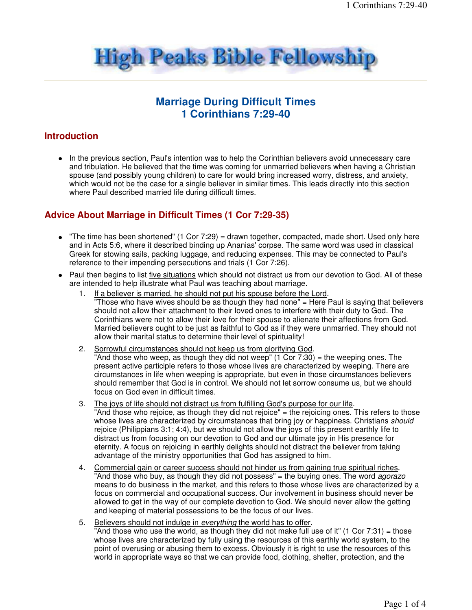

# **Marriage During Difficult Times 1 Corinthians 7:29-40**

### **Introduction**

• In the previous section, Paul's intention was to help the Corinthian believers avoid unnecessary care and tribulation. He believed that the time was coming for unmarried believers when having a Christian spouse (and possibly young children) to care for would bring increased worry, distress, and anxiety, which would not be the case for a single believer in similar times. This leads directly into this section where Paul described married life during difficult times.

### **Advice About Marriage in Difficult Times (1 Cor 7:29-35)**

- "The time has been shortened" (1 Cor 7:29) = drawn together, compacted, made short. Used only here and in Acts 5:6, where it described binding up Ananias' corpse. The same word was used in classical Greek for stowing sails, packing luggage, and reducing expenses. This may be connected to Paul's reference to their impending persecutions and trials (1 Cor 7:26).
- Paul then begins to list five situations which should not distract us from our devotion to God. All of these are intended to help illustrate what Paul was teaching about marriage.
	- 1. If a believer is married, he should not put his spouse before the Lord. "Those who have wives should be as though they had none" = Here Paul is saying that believers should not allow their attachment to their loved ones to interfere with their duty to God. The Corinthians were not to allow their love for their spouse to alienate their affections from God. Married believers ought to be just as faithful to God as if they were unmarried. They should not allow their marital status to determine their level of spirituality!
	- 2. Sorrowful circumstances should not keep us from glorifying God. "And those who weep, as though they did not weep" (1 Cor 7:30) = the weeping ones. The present active participle refers to those whose lives are characterized by weeping. There are circumstances in life when weeping is appropriate, but even in those circumstances believers should remember that God is in control. We should not let sorrow consume us, but we should focus on God even in difficult times.
	- 3. The joys of life should not distract us from fulfilling God's purpose for our life. "And those who rejoice, as though they did not rejoice" = the rejoicing ones. This refers to those whose lives are characterized by circumstances that bring joy or happiness. Christians should rejoice (Philippians 3:1; 4:4), but we should not allow the joys of this present earthly life to distract us from focusing on our devotion to God and our ultimate joy in His presence for eternity. A focus on rejoicing in earthly delights should not distract the believer from taking advantage of the ministry opportunities that God has assigned to him.
	- 4. Commercial gain or career success should not hinder us from gaining true spiritual riches. "And those who buy, as though they did not possess" = the buying ones. The word *agorazo* means to do business in the market, and this refers to those whose lives are characterized by a focus on commercial and occupational success. Our involvement in business should never be allowed to get in the way of our complete devotion to God. We should never allow the getting and keeping of material possessions to be the focus of our lives.
	- 5. Believers should not indulge in everything the world has to offer. "And those who use the world, as though they did not make full use of it"  $(1 \text{ Cor } 7:31) = \text{those}$ whose lives are characterized by fully using the resources of this earthly world system, to the point of overusing or abusing them to excess. Obviously it is right to use the resources of this world in appropriate ways so that we can provide food, clothing, shelter, protection, and the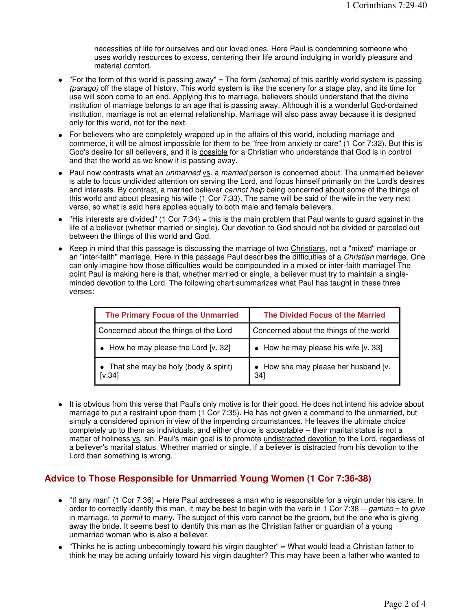necessities of life for ourselves and our loved ones. Here Paul is condemning someone who uses worldly resources to excess, centering their life around indulging in worldly pleasure and material comfort.

- "For the form of this world is passing away" = The form (schema) of this earthly world system is passing (parago) off the stage of history. This world system is like the scenery for a stage play, and its time for use will soon come to an end. Applying this to marriage, believers should understand that the divine institution of marriage belongs to an age that is passing away. Although it is a wonderful God-ordained institution, marriage is not an eternal relationship. Marriage will also pass away because it is designed only for this world, not for the next.
- For believers who are completely wrapped up in the affairs of this world, including marriage and commerce, it will be almost impossible for them to be "free from anxiety or care" (1 Cor 7:32). But this is God's desire for all believers, and it is possible for a Christian who understands that God is in control and that the world as we know it is passing away.
- Paul now contrasts what an *unmarried* vs. a married person is concerned about. The unmarried believer is able to focus undivided attention on serving the Lord, and focus himself primarily on the Lord's desires and interests. By contrast, a married believer cannot help being concerned about some of the things of this world and about pleasing his wife (1 Cor 7:33). The same will be said of the wife in the very next verse, so what is said here applies equally to both male and female believers.
- $\bullet$  "His interests are divided" (1 Cor 7:34) = this is the main problem that Paul wants to guard against in the life of a believer (whether married or single). Our devotion to God should not be divided or parceled out between the things of this world and God.
- Keep in mind that this passage is discussing the marriage of two Christians, not a "mixed" marriage or an "inter-faith" marriage. Here in this passage Paul describes the difficulties of a Christian marriage. One can only imagine how those difficulties would be compounded in a mixed or inter-faith marriage! The point Paul is making here is that, whether married or single, a believer must try to maintain a singleminded devotion to the Lord. The following chart summarizes what Paul has taught in these three verses:

| The Primary Focus of the Unmarried               | The Divided Focus of the Married             |
|--------------------------------------------------|----------------------------------------------|
| Concerned about the things of the Lord           | Concerned about the things of the world      |
| $\bullet$ How he may please the Lord [v. 32]     | $\bullet$ How he may please his wife [v. 33] |
| • That she may be holy (body & spirit)<br>[V.34] | • How she may please her husband [v.<br>34]  |

• It is obvious from this verse that Paul's only motive is for their good. He does not intend his advice about marriage to put a restraint upon them (1 Cor 7:35). He has not given a command to the unmarried, but simply a considered opinion in view of the impending circumstances. He leaves the ultimate choice completely up to them as individuals, and either choice is acceptable -- their marital status is not a matter of holiness vs. sin. Paul's main goal is to promote undistracted devotion to the Lord, regardless of a believer's marital status. Whether married or single, if a believer is distracted from his devotion to the Lord then something is wrong.

# **Advice to Those Responsible for Unmarried Young Women (1 Cor 7:36-38)**

- $\bullet$  "If any man" (1 Cor 7:36) = Here Paul addresses a man who is responsible for a virgin under his care. In order to correctly identify this man, it may be best to begin with the verb in 1 Cor 7:38 -- gamizo = to give in marriage, to *permit* to marry. The subject of this verb cannot be the groom, but the one who is giving away the bride. It seems best to identify this man as the Christian father or guardian of a young unmarried woman who is also a believer.
- "Thinks he is acting unbecomingly toward his virgin daughter" = What would lead a Christian father to think he may be acting unfairly toward his virgin daughter? This may have been a father who wanted to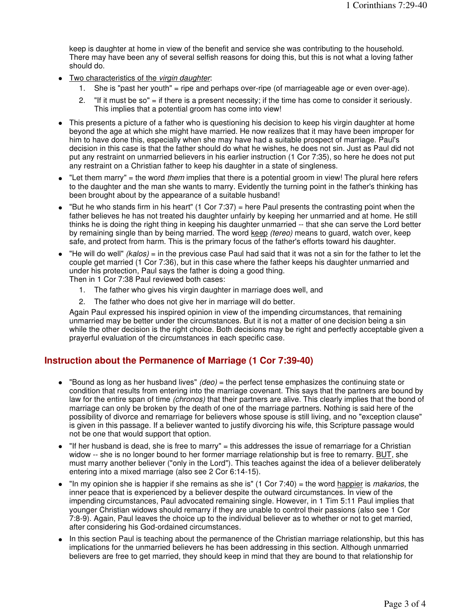keep is daughter at home in view of the benefit and service she was contributing to the household. There may have been any of several selfish reasons for doing this, but this is not what a loving father should do.

- Two characteristics of the virgin daughter:
	- 1. She is "past her youth" = ripe and perhaps over-ripe (of marriageable age or even over-age).
	- 2. "If it must be so" = if there is a present necessity; if the time has come to consider it seriously. This implies that a potential groom has come into view!
- This presents a picture of a father who is questioning his decision to keep his virgin daughter at home beyond the age at which she might have married. He now realizes that it may have been improper for him to have done this, especially when she may have had a suitable prospect of marriage. Paul's decision in this case is that the father should do what he wishes, he does not sin. Just as Paul did not put any restraint on unmarried believers in his earlier instruction (1 Cor 7:35), so here he does not put any restraint on a Christian father to keep his daughter in a state of singleness.
- $\bullet$  "Let them marry" = the word *them* implies that there is a potential groom in view! The plural here refers to the daughter and the man she wants to marry. Evidently the turning point in the father's thinking has been brought about by the appearance of a suitable husband!
- $\bullet$  "But he who stands firm in his heart" (1 Cor 7:37) = here Paul presents the contrasting point when the father believes he has not treated his daughter unfairly by keeping her unmarried and at home. He still thinks he is doing the right thing in keeping his daughter unmarried -- that she can serve the Lord better by remaining single than by being married. The word keep (tereo) means to guard, watch over, keep safe, and protect from harm. This is the primary focus of the father's efforts toward his daughter.
- $\bullet$  "He will do well" (kalos) = in the previous case Paul had said that it was not a sin for the father to let the couple get married (1 Cor 7:36), but in this case where the father keeps his daughter unmarried and under his protection, Paul says the father is doing a good thing. Then in 1 Cor 7:38 Paul reviewed both cases:
	- 1. The father who gives his virgin daughter in marriage does well, and
	- 2. The father who does not give her in marriage will do better.

Again Paul expressed his inspired opinion in view of the impending circumstances, that remaining unmarried may be better under the circumstances. But it is not a matter of one decision being a sin while the other decision is the right choice. Both decisions may be right and perfectly acceptable given a prayerful evaluation of the circumstances in each specific case.

#### **Instruction about the Permanence of Marriage (1 Cor 7:39-40)**

- $\bullet$  "Bound as long as her husband lives" (deo) = the perfect tense emphasizes the continuing state or condition that results from entering into the marriage covenant. This says that the partners are bound by law for the entire span of time (chronos) that their partners are alive. This clearly implies that the bond of marriage can only be broken by the death of one of the marriage partners. Nothing is said here of the possibility of divorce and remarriage for believers whose spouse is still living, and no "exception clause" is given in this passage. If a believer wanted to justify divorcing his wife, this Scripture passage would not be one that would support that option.
- "If her husband is dead, she is free to marry" = this addresses the issue of remarriage for a Christian widow -- she is no longer bound to her former marriage relationship but is free to remarry. BUT, she must marry another believer ("only in the Lord"). This teaches against the idea of a believer deliberately entering into a mixed marriage (also see 2 Cor 6:14-15).
- $\bullet$  "In my opinion she is happier if she remains as she is" (1 Cor 7:40) = the word happier is *makarios*, the inner peace that is experienced by a believer despite the outward circumstances. In view of the impending circumstances, Paul advocated remaining single. However, in 1 Tim 5:11 Paul implies that younger Christian widows should remarry if they are unable to control their passions (also see 1 Cor 7:8-9). Again, Paul leaves the choice up to the individual believer as to whether or not to get married, after considering his God-ordained circumstances.
- In this section Paul is teaching about the permanence of the Christian marriage relationship, but this has implications for the unmarried believers he has been addressing in this section. Although unmarried believers are free to get married, they should keep in mind that they are bound to that relationship for